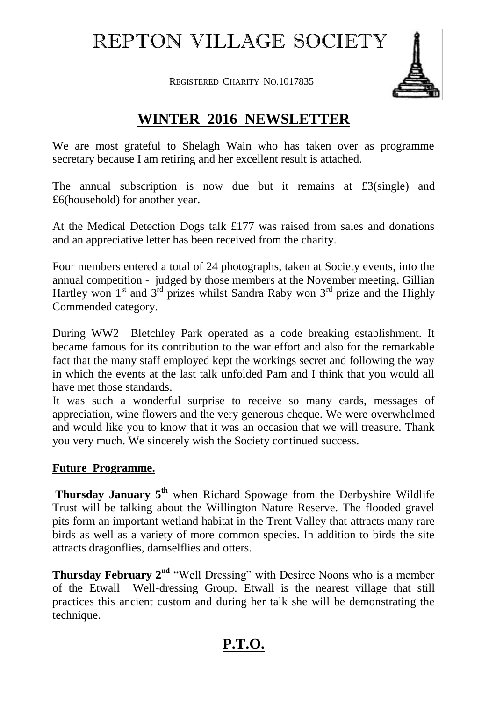## REPTON VILLAGE SOCIETY

REGISTERED CHARITY NO.1017835



## **WINTER 2016 NEWSLETTER**

We are most grateful to Shelagh Wain who has taken over as programme secretary because I am retiring and her excellent result is attached.

The annual subscription is now due but it remains at £3(single) and £6(household) for another year.

At the Medical Detection Dogs talk £177 was raised from sales and donations and an appreciative letter has been received from the charity.

Four members entered a total of 24 photographs, taken at Society events, into the annual competition - judged by those members at the November meeting. Gillian Hartley won  $1^{st}$  and  $3^{rd}$  prizes whilst Sandra Raby won  $3^{rd}$  prize and the Highly Commended category.

During WW2 Bletchley Park operated as a code breaking establishment. It became famous for its contribution to the war effort and also for the remarkable fact that the many staff employed kept the workings secret and following the way in which the events at the last talk unfolded Pam and I think that you would all have met those standards.

It was such a wonderful surprise to receive so many cards, messages of appreciation, wine flowers and the very generous cheque. We were overwhelmed and would like you to know that it was an occasion that we will treasure. Thank you very much. We sincerely wish the Society continued success.

## **Future Programme.**

**Thursday January 5th** when Richard Spowage from the Derbyshire Wildlife Trust will be talking about the Willington Nature Reserve. The flooded gravel pits form an important wetland habitat in the Trent Valley that attracts many rare birds as well as a variety of more common species. In addition to birds the site attracts dragonflies, damselflies and otters.

**Thursday February 2<sup>nd</sup>** "Well Dressing" with Desiree Noons who is a member of the Etwall Well-dressing Group. Etwall is the nearest village that still practices this ancient custom and during her talk she will be demonstrating the technique.

## **P.T.O.**